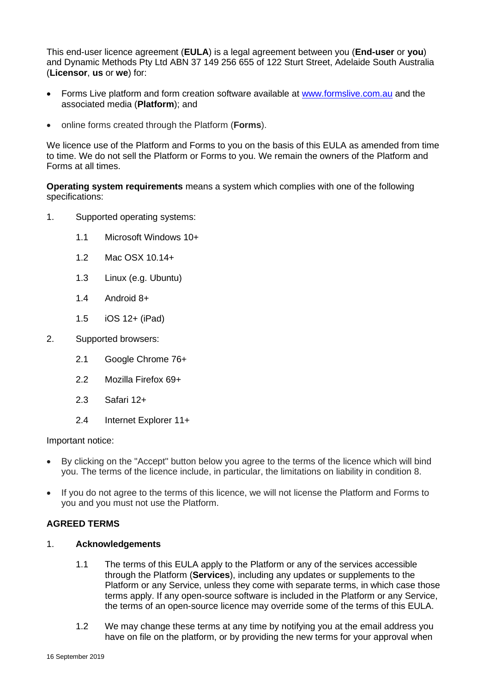This end-user licence agreement (**EULA**) is a legal agreement between you (**End-user** or **you**) and Dynamic Methods Pty Ltd ABN 37 149 256 655 of 122 Sturt Street, Adelaide South Australia (**Licensor**, **us** or **we**) for:

- Forms Live platform and form creation software available at [www.formslive.com.au](http://www.formslive.com.au/) and the associated media (**Platform**); and
- online forms created through the Platform (**Forms**).

We licence use of the Platform and Forms to you on the basis of this EULA as amended from time to time. We do not sell the Platform or Forms to you. We remain the owners of the Platform and Forms at all times.

**Operating system requirements** means a system which complies with one of the following specifications:

- 1. Supported operating systems:
	- 1.1 Microsoft Windows 10+
	- 1.2 Mac OSX 10.14+
	- 1.3 Linux (e.g. Ubuntu)
	- 1.4 Android 8+
	- 1.5 iOS 12+ (iPad)
- 2. Supported browsers:
	- 2.1 Google Chrome 76+
	- 2.2 Mozilla Firefox 69+
	- 2.3 Safari 12+
	- 2.4 Internet Explorer 11+

#### Important notice:

- By clicking on the "Accept" button below you agree to the terms of the licence which will bind you. The terms of the licence include, in particular, the limitations on liability in condition [8.](#page-6-0)
- If you do not agree to the terms of this licence, we will not license the Platform and Forms to you and you must not use the Platform.

# **AGREED TERMS**

- 1. **Acknowledgements**
	- 1.1 The terms of this EULA apply to the Platform or any of the services accessible through the Platform (**Services**), including any updates or supplements to the Platform or any Service, unless they come with separate terms, in which case those terms apply. If any open-source software is included in the Platform or any Service, the terms of an open-source licence may override some of the terms of this EULA.
	- 1.2 We may change these terms at any time by notifying you at the email address you have on file on the platform, or by providing the new terms for your approval when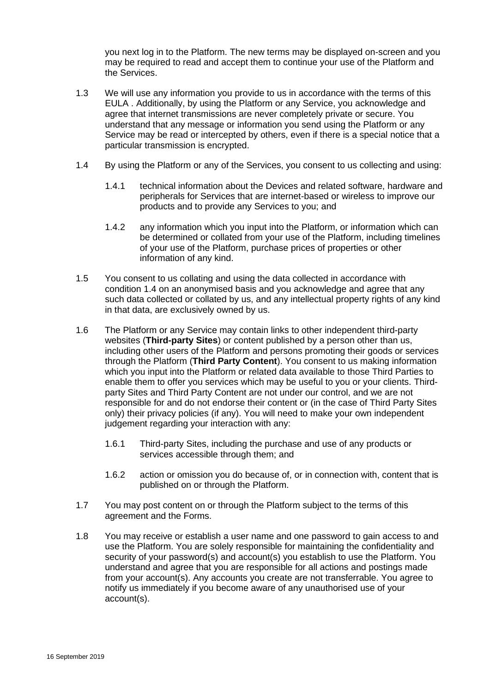you next log in to the Platform. The new terms may be displayed on-screen and you may be required to read and accept them to continue your use of the Platform and the Services.

- 1.3 We will use any information you provide to us in accordance with the terms of this EULA . Additionally, by using the Platform or any Service, you acknowledge and agree that internet transmissions are never completely private or secure. You understand that any message or information you send using the Platform or any Service may be read or intercepted by others, even if there is a special notice that a particular transmission is encrypted.
- <span id="page-1-0"></span>1.4 By using the Platform or any of the Services, you consent to us collecting and using:
	- 1.4.1 technical information about the Devices and related software, hardware and peripherals for Services that are internet-based or wireless to improve our products and to provide any Services to you; and
	- 1.4.2 any information which you input into the Platform, or information which can be determined or collated from your use of the Platform, including timelines of your use of the Platform, purchase prices of properties or other information of any kind.
- 1.5 You consent to us collating and using the data collected in accordance with condition [1.4](#page-1-0) on an anonymised basis and you acknowledge and agree that any such data collected or collated by us, and any intellectual property rights of any kind in that data, are exclusively owned by us.
- 1.6 The Platform or any Service may contain links to other independent third-party websites (**Third-party Sites**) or content published by a person other than us, including other users of the Platform and persons promoting their goods or services through the Platform (**Third Party Content**). You consent to us making information which you input into the Platform or related data available to those Third Parties to enable them to offer you services which may be useful to you or your clients. Thirdparty Sites and Third Party Content are not under our control, and we are not responsible for and do not endorse their content or (in the case of Third Party Sites only) their privacy policies (if any). You will need to make your own independent judgement regarding your interaction with any:
	- 1.6.1 Third-party Sites, including the purchase and use of any products or services accessible through them; and
	- 1.6.2 action or omission you do because of, or in connection with, content that is published on or through the Platform.
- 1.7 You may post content on or through the Platform subject to the terms of this agreement and the Forms.
- 1.8 You may receive or establish a user name and one password to gain access to and use the Platform. You are solely responsible for maintaining the confidentiality and security of your password(s) and account(s) you establish to use the Platform. You understand and agree that you are responsible for all actions and postings made from your account(s). Any accounts you create are not transferrable. You agree to notify us immediately if you become aware of any unauthorised use of your account(s).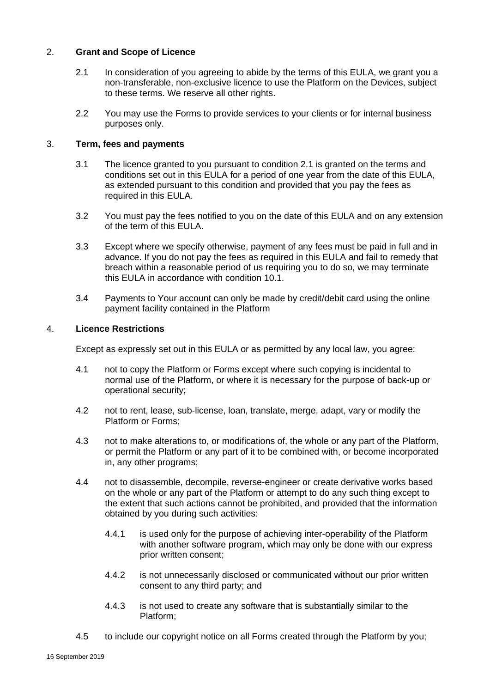# <span id="page-2-0"></span>2. **Grant and Scope of Licence**

- 2.1 In consideration of you agreeing to abide by the terms of this EULA, we grant you a non-transferable, non-exclusive licence to use the Platform on the Devices, subject to these terms. We reserve all other rights.
- 2.2 You may use the Forms to provide services to your clients or for internal business purposes only.

#### 3. **Term, fees and payments**

- 3.1 The licence granted to you pursuant to condition [2.1](#page-2-0) is granted on the terms and conditions set out in this EULA for a period of one year from the date of this EULA, as extended pursuant to this condition and provided that you pay the fees as required in this EULA.
- 3.2 You must pay the fees notified to you on the date of this EULA and on any extension of the term of this EULA.
- 3.3 Except where we specify otherwise, payment of any fees must be paid in full and in advance. If you do not pay the fees as required in this EULA and fail to remedy that breach within a reasonable period of us requiring you to do so, we may terminate this EULA in accordance with condition [10.1.](#page-7-0)
- 3.4 Payments to Your account can only be made by credit/debit card using the online payment facility contained in the Platform

#### 4. **Licence Restrictions**

Except as expressly set out in this EULA or as permitted by any local law, you agree:

- 4.1 not to copy the Platform or Forms except where such copying is incidental to normal use of the Platform, or where it is necessary for the purpose of back-up or operational security;
- 4.2 not to rent, lease, sub-license, loan, translate, merge, adapt, vary or modify the Platform or Forms;
- 4.3 not to make alterations to, or modifications of, the whole or any part of the Platform, or permit the Platform or any part of it to be combined with, or become incorporated in, any other programs;
- 4.4 not to disassemble, decompile, reverse-engineer or create derivative works based on the whole or any part of the Platform or attempt to do any such thing except to the extent that such actions cannot be prohibited, and provided that the information obtained by you during such activities:
	- 4.4.1 is used only for the purpose of achieving inter-operability of the Platform with another software program, which may only be done with our express prior written consent;
	- 4.4.2 is not unnecessarily disclosed or communicated without our prior written consent to any third party; and
	- 4.4.3 is not used to create any software that is substantially similar to the Platform;
- 4.5 to include our copyright notice on all Forms created through the Platform by you;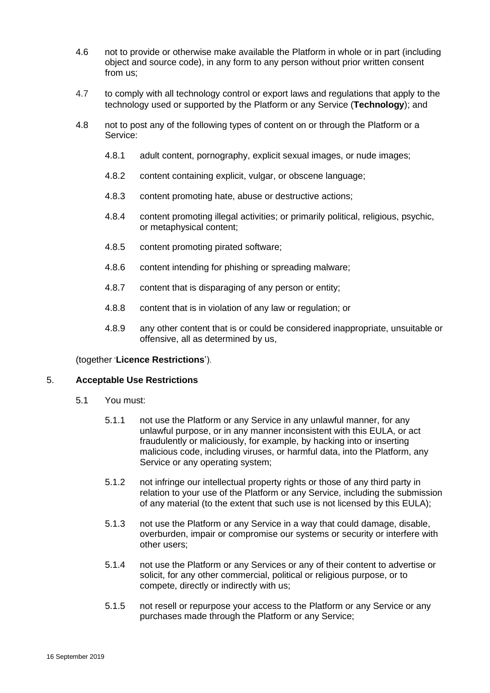- 4.6 not to provide or otherwise make available the Platform in whole or in part (including object and source code), in any form to any person without prior written consent from us;
- 4.7 to comply with all technology control or export laws and regulations that apply to the technology used or supported by the Platform or any Service (**Technology**); and
- 4.8 not to post any of the following types of content on or through the Platform or a Service:
	- 4.8.1 adult content, pornography, explicit sexual images, or nude images;
	- 4.8.2 content containing explicit, vulgar, or obscene language;
	- 4.8.3 content promoting hate, abuse or destructive actions;
	- 4.8.4 content promoting illegal activities; or primarily political, religious, psychic, or metaphysical content;
	- 4.8.5 content promoting pirated software;
	- 4.8.6 content intending for phishing or spreading malware;
	- 4.8.7 content that is disparaging of any person or entity;
	- 4.8.8 content that is in violation of any law or regulation; or
	- 4.8.9 any other content that is or could be considered inappropriate, unsuitable or offensive, all as determined by us,

#### (together '**Licence Restrictions**').

#### 5. **Acceptable Use Restrictions**

- 5.1 You must:
	- 5.1.1 not use the Platform or any Service in any unlawful manner, for any unlawful purpose, or in any manner inconsistent with this EULA, or act fraudulently or maliciously, for example, by hacking into or inserting malicious code, including viruses, or harmful data, into the Platform, any Service or any operating system;
	- 5.1.2 not infringe our intellectual property rights or those of any third party in relation to your use of the Platform or any Service, including the submission of any material (to the extent that such use is not licensed by this EULA);
	- 5.1.3 not use the Platform or any Service in a way that could damage, disable, overburden, impair or compromise our systems or security or interfere with other users;
	- 5.1.4 not use the Platform or any Services or any of their content to advertise or solicit, for any other commercial, political or religious purpose, or to compete, directly or indirectly with us;
	- 5.1.5 not resell or repurpose your access to the Platform or any Service or any purchases made through the Platform or any Service;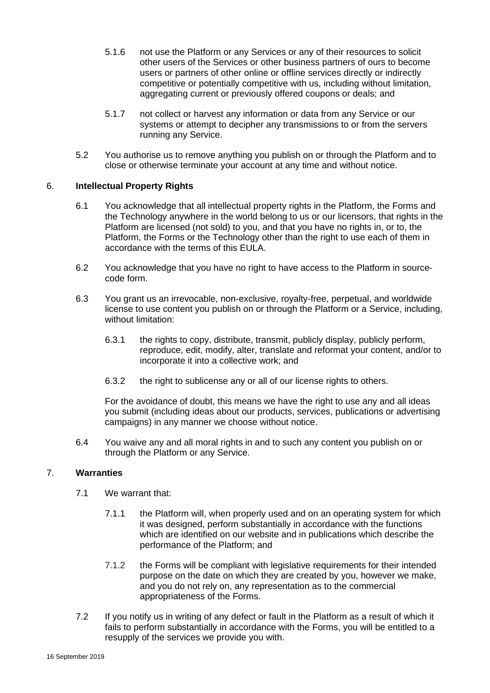- 5.1.6 not use the Platform or any Services or any of their resources to solicit other users of the Services or other business partners of ours to become users or partners of other online or offline services directly or indirectly competitive or potentially competitive with us, including without limitation, aggregating current or previously offered coupons or deals; and
- 5.1.7 not collect or harvest any information or data from any Service or our systems or attempt to decipher any transmissions to or from the servers running any Service.
- 5.2 You authorise us to remove anything you publish on or through the Platform and to close or otherwise terminate your account at any time and without notice.

# 6. **Intellectual Property Rights**

- 6.1 You acknowledge that all intellectual property rights in the Platform, the Forms and the Technology anywhere in the world belong to us or our licensors, that rights in the Platform are licensed (not sold) to you, and that you have no rights in, or to, the Platform, the Forms or the Technology other than the right to use each of them in accordance with the terms of this EULA.
- 6.2 You acknowledge that you have no right to have access to the Platform in sourcecode form.
- 6.3 You grant us an irrevocable, non-exclusive, royalty-free, perpetual, and worldwide license to use content you publish on or through the Platform or a Service, including, without limitation:
	- 6.3.1 the rights to copy, distribute, transmit, publicly display, publicly perform, reproduce, edit, modify, alter, translate and reformat your content, and/or to incorporate it into a collective work; and
	- 6.3.2 the right to sublicense any or all of our license rights to others.

For the avoidance of doubt, this means we have the right to use any and all ideas you submit (including ideas about our products, services, publications or advertising campaigns) in any manner we choose without notice.

6.4 You waive any and all moral rights in and to such any content you publish on or through the Platform or any Service.

# <span id="page-4-0"></span>7. **Warranties**

- 7.1 We warrant that:
	- 7.1.1 the Platform will, when properly used and on an operating system for which it was designed, perform substantially in accordance with the functions which are identified on our website and in publications which describe the performance of the Platform; and
	- 7.1.2 the Forms will be compliant with legislative requirements for their intended purpose on the date on which they are created by you, however we make, and you do not rely on, any representation as to the commercial appropriateness of the Forms.
- 7.2 If you notify us in writing of any defect or fault in the Platform as a result of which it fails to perform substantially in accordance with the Forms, you will be entitled to a resupply of the services we provide you with.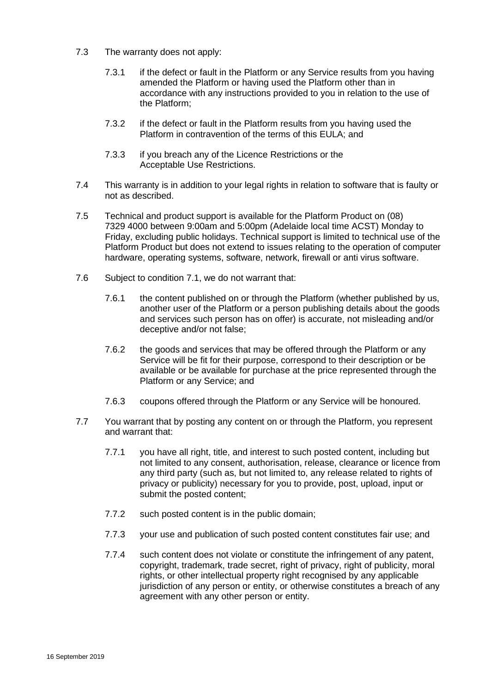- 7.3 The warranty does not apply:
	- 7.3.1 if the defect or fault in the Platform or any Service results from you having amended the Platform or having used the Platform other than in accordance with any instructions provided to you in relation to the use of the Platform;
	- 7.3.2 if the defect or fault in the Platform results from you having used the Platform in contravention of the terms of this EULA; and
	- 7.3.3 if you breach any of the Licence Restrictions or the Acceptable Use Restrictions.
- 7.4 This warranty is in addition to your legal rights in relation to software that is faulty or not as described.
- 7.5 Technical and product support is available for the Platform Product on (08) 7329 4000 between 9:00am and 5:00pm (Adelaide local time ACST) Monday to Friday, excluding public holidays. Technical support is limited to technical use of the Platform Product but does not extend to issues relating to the operation of computer hardware, operating systems, software, network, firewall or anti virus software.
- 7.6 Subject to condition [7.1,](#page-4-0) we do not warrant that:
	- 7.6.1 the content published on or through the Platform (whether published by us, another user of the Platform or a person publishing details about the goods and services such person has on offer) is accurate, not misleading and/or deceptive and/or not false;
	- 7.6.2 the goods and services that may be offered through the Platform or any Service will be fit for their purpose, correspond to their description or be available or be available for purchase at the price represented through the Platform or any Service; and
	- 7.6.3 coupons offered through the Platform or any Service will be honoured.
- 7.7 You warrant that by posting any content on or through the Platform, you represent and warrant that:
	- 7.7.1 you have all right, title, and interest to such posted content, including but not limited to any consent, authorisation, release, clearance or licence from any third party (such as, but not limited to, any release related to rights of privacy or publicity) necessary for you to provide, post, upload, input or submit the posted content;
	- 7.7.2 such posted content is in the public domain;
	- 7.7.3 your use and publication of such posted content constitutes fair use; and
	- 7.7.4 such content does not violate or constitute the infringement of any patent, copyright, trademark, trade secret, right of privacy, right of publicity, moral rights, or other intellectual property right recognised by any applicable jurisdiction of any person or entity, or otherwise constitutes a breach of any agreement with any other person or entity.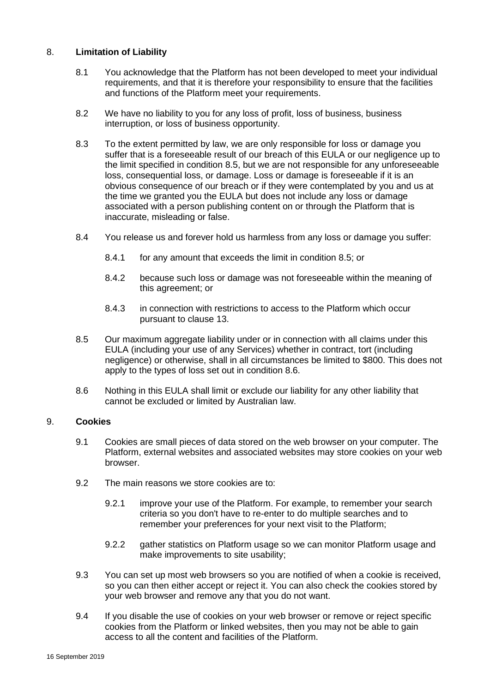# <span id="page-6-0"></span>8. **Limitation of Liability**

- 8.1 You acknowledge that the Platform has not been developed to meet your individual requirements, and that it is therefore your responsibility to ensure that the facilities and functions of the Platform meet your requirements.
- 8.2 We have no liability to you for any loss of profit, loss of business, business interruption, or loss of business opportunity.
- 8.3 To the extent permitted by law, we are only responsible for loss or damage you suffer that is a foreseeable result of our breach of this EULA or our negligence up to the limit specified in condition [8.5,](#page-6-1) but we are not responsible for any unforeseeable loss, consequential loss, or damage. Loss or damage is foreseeable if it is an obvious consequence of our breach or if they were contemplated by you and us at the time we granted you the EULA but does not include any loss or damage associated with a person publishing content on or through the Platform that is inaccurate, misleading or false.
- 8.4 You release us and forever hold us harmless from any loss or damage you suffer:
	- 8.4.1 for any amount that exceeds the limit in condition [8.5;](#page-6-1) or
	- 8.4.2 because such loss or damage was not foreseeable within the meaning of this agreement; or
	- 8.4.3 in connection with restrictions to access to the Platform which occur pursuant to clause [13.](#page-8-0)
- <span id="page-6-1"></span>8.5 Our maximum aggregate liability under or in connection with all claims under this EULA (including your use of any Services) whether in contract, tort (including negligence) or otherwise, shall in all circumstances be limited to \$800. This does not apply to the types of loss set out in condition [8.6.](#page-6-2)
- 8.6 Nothing in this EULA shall limit or exclude our liability for any other liability that cannot be excluded or limited by Australian law.

#### <span id="page-6-2"></span>9. **Cookies**

- 9.1 Cookies are small pieces of data stored on the web browser on your computer. The Platform, external websites and associated websites may store cookies on your web browser.
- 9.2 The main reasons we store cookies are to:
	- 9.2.1 improve your use of the Platform. For example, to remember your search criteria so you don't have to re-enter to do multiple searches and to remember your preferences for your next visit to the Platform;
	- 9.2.2 gather statistics on Platform usage so we can monitor Platform usage and make improvements to site usability;
- 9.3 You can set up most web browsers so you are notified of when a cookie is received, so you can then either accept or reject it. You can also check the cookies stored by your web browser and remove any that you do not want.
- 9.4 If you disable the use of cookies on your web browser or remove or reject specific cookies from the Platform or linked websites, then you may not be able to gain access to all the content and facilities of the Platform.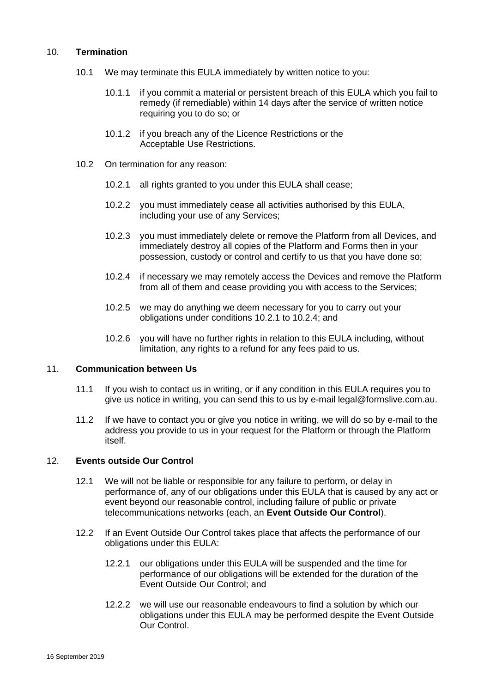# <span id="page-7-0"></span>10. **Termination**

- 10.1 We may terminate this EULA immediately by written notice to you:
	- 10.1.1 if you commit a material or persistent breach of this EULA which you fail to remedy (if remediable) within 14 days after the service of written notice requiring you to do so; or
	- 10.1.2 if you breach any of the Licence Restrictions or the Acceptable Use Restrictions.
- <span id="page-7-1"></span>10.2 On termination for any reason:
	- 10.2.1 all rights granted to you under this EULA shall cease;
	- 10.2.2 you must immediately cease all activities authorised by this EULA, including your use of any Services;
	- 10.2.3 you must immediately delete or remove the Platform from all Devices, and immediately destroy all copies of the Platform and Forms then in your possession, custody or control and certify to us that you have done so;
	- 10.2.4 if necessary we may remotely access the Devices and remove the Platform from all of them and cease providing you with access to the Services;
	- 10.2.5 we may do anything we deem necessary for you to carry out your obligations under conditions [10.2.1](#page-7-1) to [10.2.4;](#page-7-2) and
	- 10.2.6 you will have no further rights in relation to this EULA including, without limitation, any rights to a refund for any fees paid to us.

# <span id="page-7-2"></span>11. **Communication between Us**

- 11.1 If you wish to contact us in writing, or if any condition in this EULA requires you to give us notice in writing, you can send this to us by e-mail legal@formslive.com.au.
- 11.2 If we have to contact you or give you notice in writing, we will do so by e-mail to the address you provide to us in your request for the Platform or through the Platform itself.

#### 12. **Events outside Our Control**

- 12.1 We will not be liable or responsible for any failure to perform, or delay in performance of, any of our obligations under this EULA that is caused by any act or event beyond our reasonable control, including failure of public or private telecommunications networks (each, an **Event Outside Our Control**).
- 12.2 If an Event Outside Our Control takes place that affects the performance of our obligations under this EULA:
	- 12.2.1 our obligations under this EULA will be suspended and the time for performance of our obligations will be extended for the duration of the Event Outside Our Control; and
	- 12.2.2 we will use our reasonable endeavours to find a solution by which our obligations under this EULA may be performed despite the Event Outside Our Control.